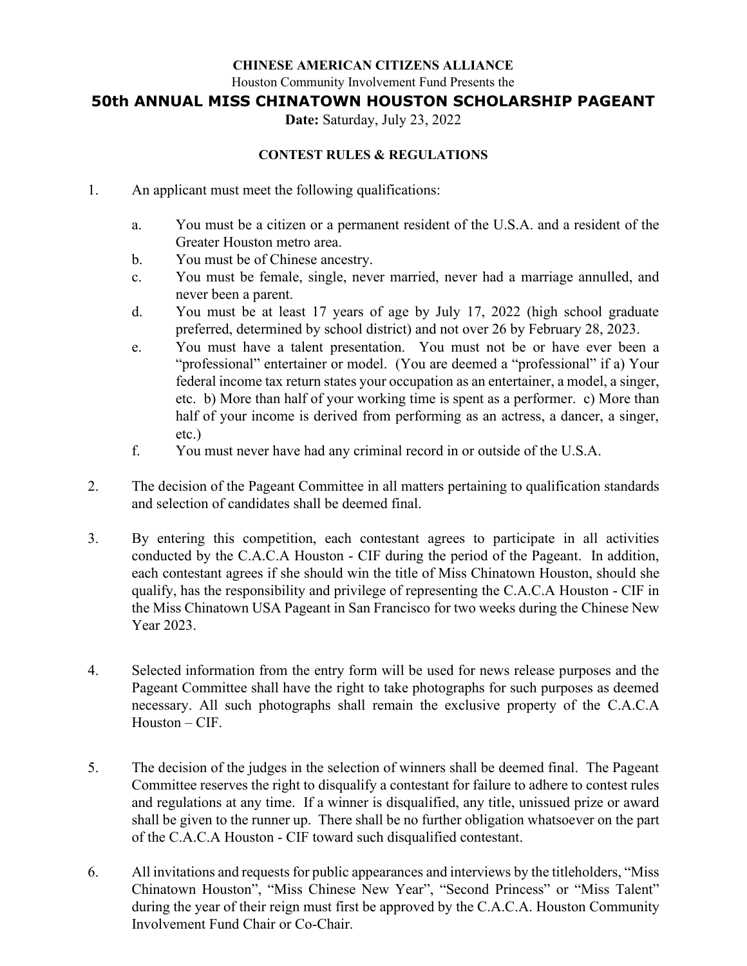### **CHINESE AMERICAN CITIZENS ALLIANCE**

Houston Community Involvement Fund Presents the

**50th ANNUAL MISS CHINATOWN HOUSTON SCHOLARSHIP PAGEANT** 

**Date:** Saturday, July 23, 2022

### **CONTEST RULES & REGULATIONS**

- 1. An applicant must meet the following qualifications:
	- a. You must be a citizen or a permanent resident of the U.S.A. and a resident of the Greater Houston metro area.
	- b. You must be of Chinese ancestry.
	- c. You must be female, single, never married, never had a marriage annulled, and never been a parent.
	- d. You must be at least 17 years of age by July 17, 2022 (high school graduate preferred, determined by school district) and not over 26 by February 28, 2023.
	- e. You must have a talent presentation. You must not be or have ever been a "professional" entertainer or model. (You are deemed a "professional" if a) Your federal income tax return states your occupation as an entertainer, a model, a singer, etc. b) More than half of your working time is spent as a performer. c) More than half of your income is derived from performing as an actress, a dancer, a singer, etc.)
	- f. You must never have had any criminal record in or outside of the U.S.A.
- 2. The decision of the Pageant Committee in all matters pertaining to qualification standards and selection of candidates shall be deemed final.
- 3. By entering this competition, each contestant agrees to participate in all activities conducted by the C.A.C.A Houston - CIF during the period of the Pageant. In addition, each contestant agrees if she should win the title of Miss Chinatown Houston, should she qualify, has the responsibility and privilege of representing the C.A.C.A Houston - CIF in the Miss Chinatown USA Pageant in San Francisco for two weeks during the Chinese New Year 2023.
- 4. Selected information from the entry form will be used for news release purposes and the Pageant Committee shall have the right to take photographs for such purposes as deemed necessary. All such photographs shall remain the exclusive property of the C.A.C.A Houston – CIF.
- 5. The decision of the judges in the selection of winners shall be deemed final. The Pageant Committee reserves the right to disqualify a contestant for failure to adhere to contest rules and regulations at any time. If a winner is disqualified, any title, unissued prize or award shall be given to the runner up. There shall be no further obligation whatsoever on the part of the C.A.C.A Houston - CIF toward such disqualified contestant.
- 6. All invitations and requests for public appearances and interviews by the titleholders, "Miss Chinatown Houston", "Miss Chinese New Year", "Second Princess" or "Miss Talent" during the year of their reign must first be approved by the C.A.C.A. Houston Community Involvement Fund Chair or Co-Chair.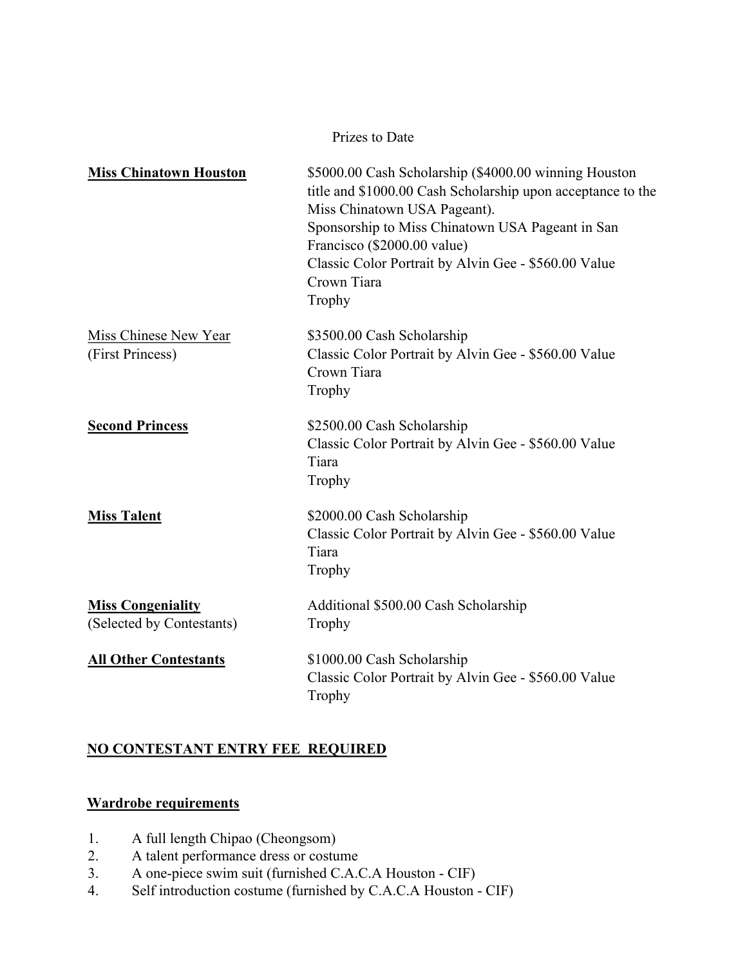Prizes to Date

| <b>Miss Chinatown Houston</b>                         | \$5000.00 Cash Scholarship (\$4000.00 winning Houston<br>title and \$1000.00 Cash Scholarship upon acceptance to the<br>Miss Chinatown USA Pageant).<br>Sponsorship to Miss Chinatown USA Pageant in San<br>Francisco (\$2000.00 value)<br>Classic Color Portrait by Alvin Gee - \$560.00 Value<br>Crown Tiara<br>Trophy |
|-------------------------------------------------------|--------------------------------------------------------------------------------------------------------------------------------------------------------------------------------------------------------------------------------------------------------------------------------------------------------------------------|
| Miss Chinese New Year<br>(First Princess)             | \$3500.00 Cash Scholarship<br>Classic Color Portrait by Alvin Gee - \$560.00 Value<br>Crown Tiara<br>Trophy                                                                                                                                                                                                              |
| <b>Second Princess</b>                                | \$2500.00 Cash Scholarship<br>Classic Color Portrait by Alvin Gee - \$560.00 Value<br>Tiara<br>Trophy                                                                                                                                                                                                                    |
| <b>Miss Talent</b>                                    | \$2000.00 Cash Scholarship<br>Classic Color Portrait by Alvin Gee - \$560.00 Value<br>Tiara<br>Trophy                                                                                                                                                                                                                    |
| <b>Miss Congeniality</b><br>(Selected by Contestants) | Additional \$500.00 Cash Scholarship<br>Trophy                                                                                                                                                                                                                                                                           |
| <b>All Other Contestants</b>                          | \$1000.00 Cash Scholarship<br>Classic Color Portrait by Alvin Gee - \$560.00 Value<br>Trophy                                                                                                                                                                                                                             |

# **NO CONTESTANT ENTRY FEE REQUIRED**

## **Wardrobe requirements**

- 1. A full length Chipao (Cheongsom)
- 2. A talent performance dress or costume
- 3. A one-piece swim suit (furnished C.A.C.A Houston CIF)
- 4. Self introduction costume (furnished by C.A.C.A Houston CIF)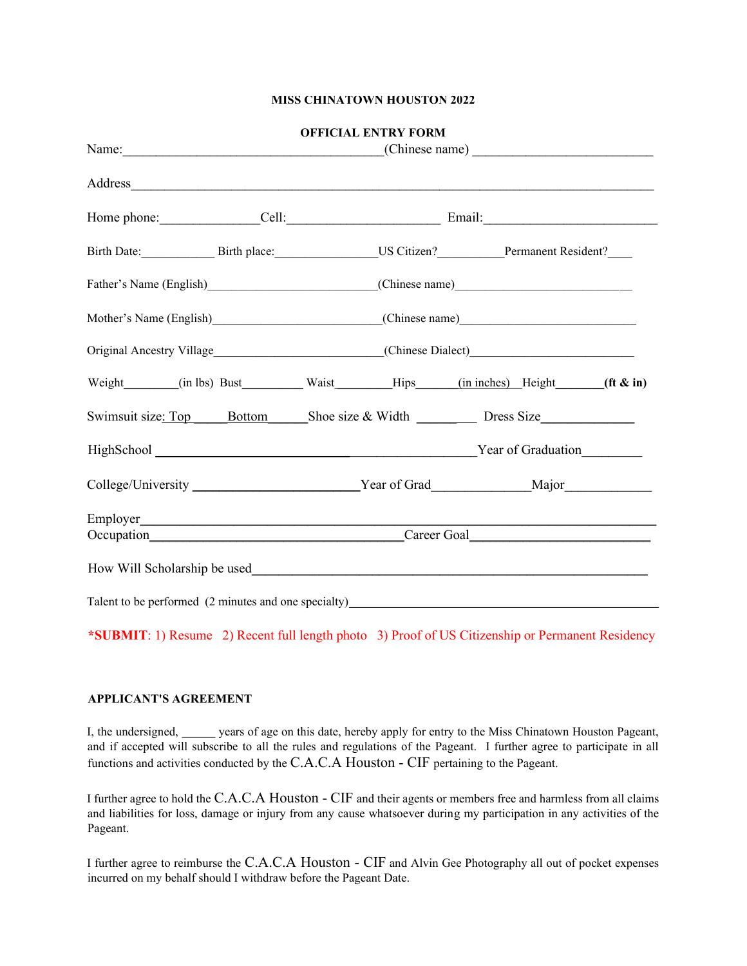#### **MISS CHINATOWN HOUSTON 2022**

|                                                                                   |  | <b>OFFICIAL ENTRY FORM</b> |                                                                                                      |  |  |  |
|-----------------------------------------------------------------------------------|--|----------------------------|------------------------------------------------------------------------------------------------------|--|--|--|
|                                                                                   |  |                            |                                                                                                      |  |  |  |
|                                                                                   |  |                            |                                                                                                      |  |  |  |
|                                                                                   |  |                            | Birth Date: Birth place: US Citizen? Permanent Resident?                                             |  |  |  |
|                                                                                   |  |                            |                                                                                                      |  |  |  |
|                                                                                   |  |                            |                                                                                                      |  |  |  |
|                                                                                   |  |                            |                                                                                                      |  |  |  |
|                                                                                   |  |                            | Weight (in lbs) Bust Waist Hips (in inches) Height (ft & in)                                         |  |  |  |
|                                                                                   |  |                            | Swimsuit size: Top Bottom Shoe size & Width Dress Size                                               |  |  |  |
|                                                                                   |  |                            |                                                                                                      |  |  |  |
|                                                                                   |  |                            | College/University ______________________________Year of Grad__________________Major________________ |  |  |  |
|                                                                                   |  |                            |                                                                                                      |  |  |  |
|                                                                                   |  |                            |                                                                                                      |  |  |  |
|                                                                                   |  |                            |                                                                                                      |  |  |  |
| Talent to be performed (2 minutes and one specialty)_____________________________ |  |                            |                                                                                                      |  |  |  |

**\*SUBMIT**: 1) Resume 2) Recent full length photo 3) Proof of US Citizenship or Permanent Residency

#### **APPLICANT'S AGREEMENT**

I, the undersigned, years of age on this date, hereby apply for entry to the Miss Chinatown Houston Pageant, and if accepted will subscribe to all the rules and regulations of the Pageant. I further agree to participate in all functions and activities conducted by the C.A.C.A Houston - CIF pertaining to the Pageant.

I further agree to hold the C.A.C.A Houston - CIF and their agents or members free and harmless from all claims and liabilities for loss, damage or injury from any cause whatsoever during my participation in any activities of the Pageant.

I further agree to reimburse the C.A.C.A Houston - CIF and Alvin Gee Photography all out of pocket expenses incurred on my behalf should I withdraw before the Pageant Date.